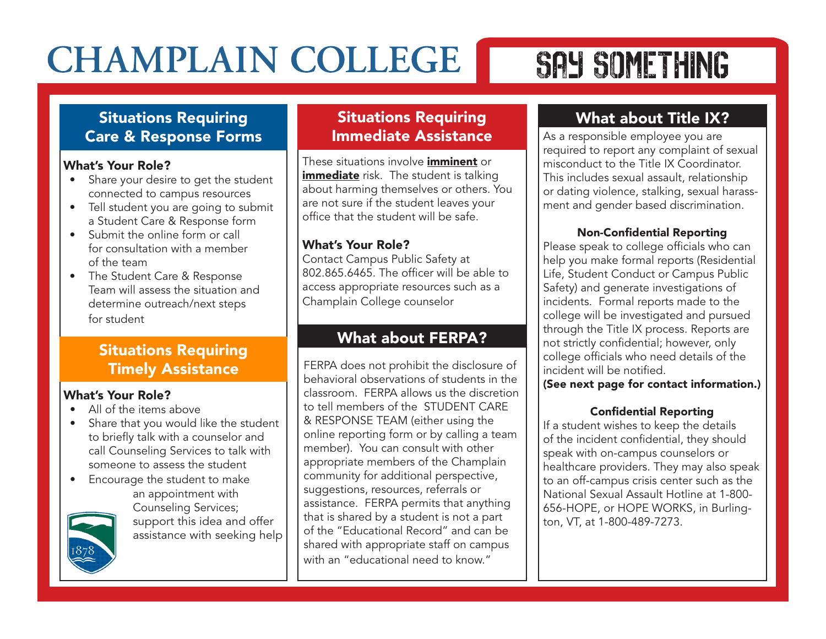# SAY SOMETHING

### Situations Requiring Care & Response Forms

### What's Your Role?

- Share your desire to get the student connected to campus resources
- Tell student you are going to submit a Student Care & Response form
- Submit the online form or call for consultation with a member of the team
- The Student Care & Response Team will assess the situation and determine outreach/next steps for student

### Situations Requiring Timely Assistance

### What's Your Role?

- All of the items above
- Share that you would like the student to briefly talk with a counselor and call Counseling Services to talk with someone to assess the student
- Encourage the student to make an appointment with Counseling Services; support this idea and offer assistance with seeking help

### Situations Requiring Immediate Assistance

These situations involve *imminent* or immediate risk. The student is talking about harming themselves or others. You are not sure if the student leaves your office that the student will be safe.

### What's Your Role?

Contact Campus Public Safety at 802.865.6465. The officer will be able to access appropriate resources such as a Champlain College counselor

### What about FERPA?

FERPA does not prohibit the disclosure of behavioral observations of students in the classroom. FERPA allows us the discretion to tell members of the STUDENT CARE & RESPONSE TEAM (either using the online reporting form or by calling a team member). You can consult with other appropriate members of the Champlain community for additional perspective, suggestions, resources, referrals or assistance. FERPA permits that anything that is shared by a student is not a part of the "Educational Record" and can be shared with appropriate staff on campus with an "educational need to know."

# What about Title IX?

As a responsible employee you are required to report any complaint of sexual misconduct to the Title IX Coordinator. This includes sexual assault, relationship or dating violence, stalking, sexual harassment and gender based discrimination.

#### Non-Confidential Reporting

Please speak to college officials who can help you make formal reports (Residential Life, Student Conduct or Campus Public Safety) and generate investigations of incidents. Formal reports made to the college will be investigated and pursued through the Title IX process. Reports are not strictly confidential; however, only college officials who need details of the incident will be notified.

(See next page for contact information.)

### Confidential Reporting

If a student wishes to keep the details of the incident confidential, they should speak with on-campus counselors or healthcare providers. They may also speak to an off-campus crisis center such as the National Sexual Assault Hotline at 1-800- 656-HOPE, or HOPE WORKS, in Burlington, VT, at 1-800-489-7273.

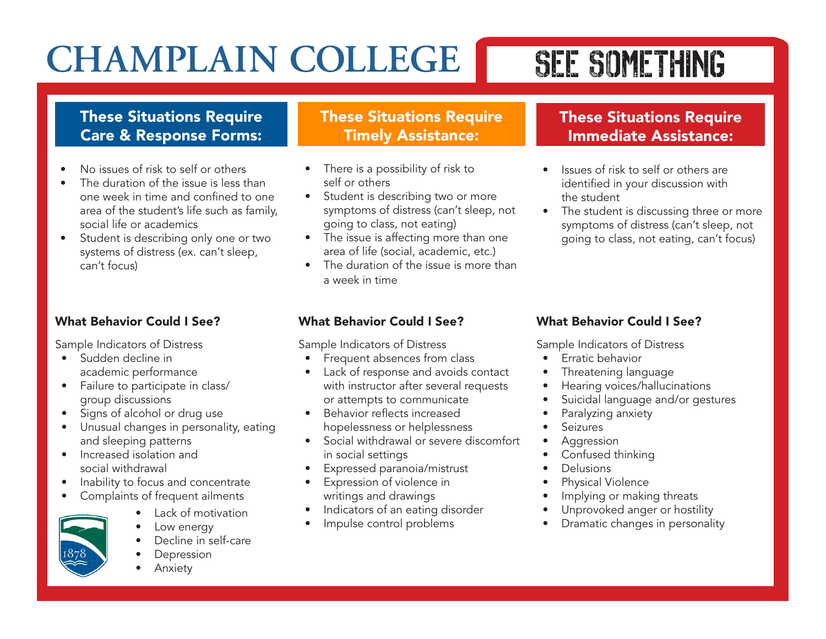# SEE SOMETHING

## These Situations Require Care & Response Forms:

- No issues of risk to self or others
- The duration of the issue is less than one week in time and confined to one area of the student's life such as family, social life or academics
- Student is describing only one or two systems of distress (ex. can't sleep, can't focus)

## What Behavior Could I See?

Sample Indicators of Distress

- Sudden decline in academic performance
- Failure to participate in class/ group discussions
- Signs of alcohol or drug use
- Unusual changes in personality, eating and sleeping patterns
- Increased isolation and social withdrawal
- Inability to focus and concentrate
- Complaints of frequent ailments
	- Lack of motivation
	- Low energy
	- Decline in self-care
	- **Depression**
	- **Anxiety**

## These Situations Require Timely Assistance:

- There is a possibility of risk to self or others
- Student is describing two or more symptoms of distress (can't sleep, not going to class, not eating)
- The issue is affecting more than one area of life (social, academic, etc.)
- The duration of the issue is more than a week in time

## These Situations Require Immediate Assistance:

- Issues of risk to self or others are identified in your discussion with the student
- The student is discussing three or more symptoms of distress (can't sleep, not going to class, not eating, can't focus)

### What Behavior Could I See?

Sample Indicators of Distress

- Frequent absences from class
- Lack of response and avoids contact with instructor after several requests or attempts to communicate
- Behavior reflects increased hopelessness or helplessness
- Social withdrawal or severe discomfort in social settings
- Expressed paranoia/mistrust
- Expression of violence in writings and drawings
- Indicators of an eating disorder
- Impulse control problems

### What Behavior Could I See?

Sample Indicators of Distress

- Erratic behavior
- Threatening language
- Hearing voices/hallucinations
- Suicidal language and/or gestures
- Paralyzing anxiety
- **Seizures**
- **Aggression**
- Confused thinking
- **Delusions**
- Physical Violence
- Implying or making threats
- Unprovoked anger or hostility
- Dramatic changes in personality

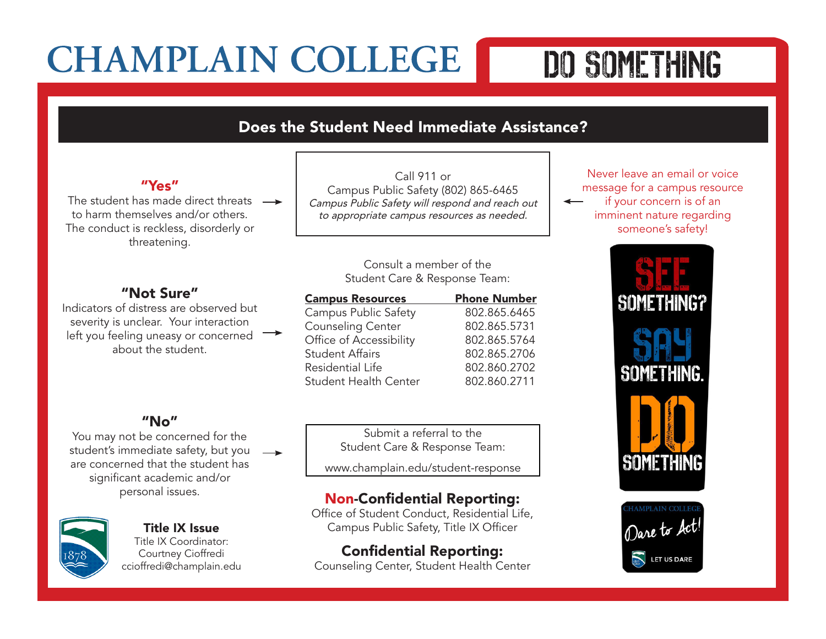# DO SOMETHING

### Does the Student Need Immediate Assistance?

#### "Yes"

The student has made direct threats  $\rightarrow$ to harm themselves and/or others. The conduct is reckless, disorderly or threatening.

#### "Not Sure"

Indicators of distress are observed but severity is unclear. Your interaction left you feeling uneasy or concerned  $\rightarrow$ about the student.

### "No"

You may not be concerned for the student's immediate safety, but you  $\rightarrow$ are concerned that the student has significant academic and/or personal issues.



#### Title IX Issue Title IX Coordinator:

Courtney Cioffredi ccioffredi@champlain.edu

Call 911 or Campus Public Safety (802) 865-6465 *Campus Public Safety will respond and reach out to appropriate campus resources as needed.*

#### Consult a member of the Student Care & Response Team:

| <b>Phone Number</b> |
|---------------------|
| 802.865.6465        |
| 802.865.5731        |
| 802.865.5764        |
| 802.865.2706        |
| 802.860.2702        |
| 802.860.2711        |
|                     |

Submit a referral to the Student Care & Response Team:

www.champlain.edu/student-response

### Non-Confidential Reporting:

Office of Student Conduct, Residential Life, Campus Public Safety, Title IX Officer

# Confidential Reporting:

Counseling Center, Student Health Center

Never leave an email or voice message for a campus resource if your concern is of an imminent nature regarding someone's safety!